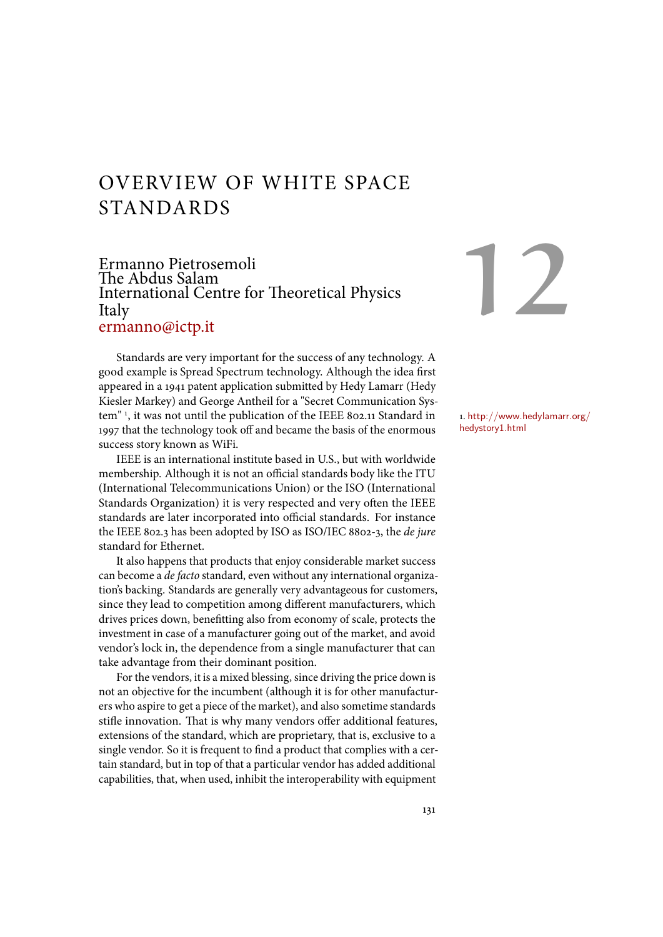# OVERVIEW OF WHITE SPACE STANDARDS

# Ermanno Pietrosemoli The Abdus Salam International Centre for Theoretical Physics Italy ermanno@ictp.it

Standards are very important for the success of any technology. A good example is Spread Spectrum technology. Although the idea first appeared in a 1941 patent application submitted by Hedy Lamarr (Hedy Kiesler Markey) and George Antheil for a "Secret Communication System" 1, it was not until the publication of the IEEE 802.11 Standard in  $\qquad$  1. http://www.hedylamarr.org/ 1997 that the technology took off and became the basis of the enormous success story known as WiFi.

IEEE is an international institute based in U.S., but with worldwide membership. Although it is not an official standards body like the ITU (International Telecommunications Union) or the ISO (International Standards Organization) it is very respected and very often the IEEE standards are later incorporated into official standards. For instance the IEEE 802.3 has been adopted by ISO as ISO/IEC 8802-3, the *de jure* standard for Ethernet.

It also happens that products that enjoy considerable market success can become a *de facto* standard, even without any international organization's backing. Standards are generally very advantageous for customers, since they lead to competition among different manufacturers, which drives prices down, benefitting also from economy of scale, protects the investment in case of a manufacturer going out of the market, and avoid vendor's lock in, the dependence from a single manufacturer that can take advantage from their dominant position.

For the vendors, it is a mixed blessing, since driving the price down is not an objective for the incumbent (although it is for other manufacturers who aspire to get a piece of the market), and also sometime standards stifle innovation. That is why many vendors offer additional features, extensions of the standard, which are proprietary, that is, exclusive to a single vendor. So it is frequent to find a product that complies with a certain standard, but in top of that a particular vendor has added additional capabilities, that, when used, inhibit the interoperability with equipment

# 12

hedystory1.html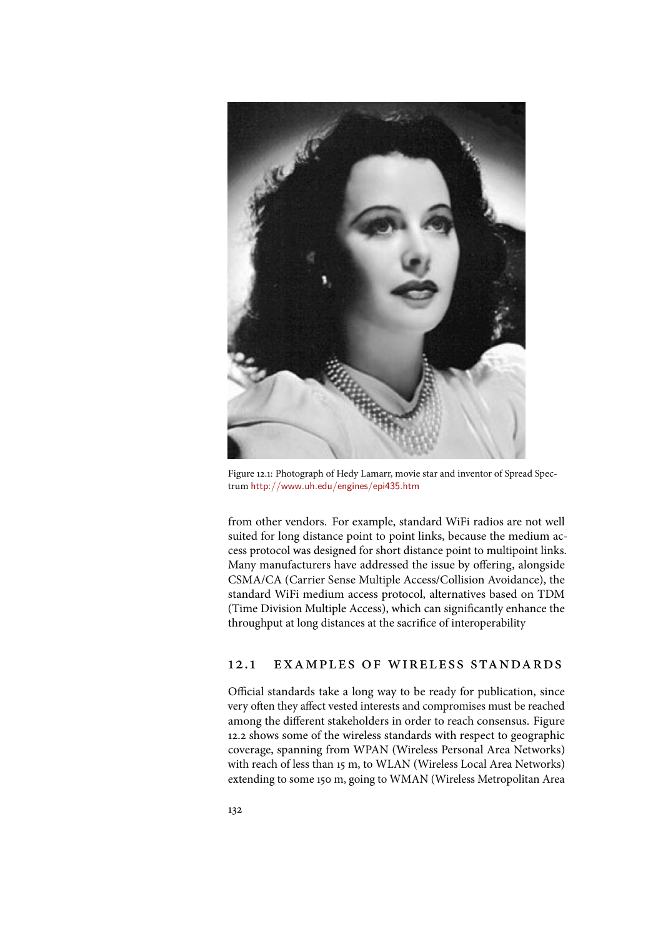

Figure 12.1: Photograph of Hedy Lamarr, movie star and inventor of Spread Spectrum http://www.uh.edu/engines/epi435.htm

from other vendors. For example, standard WiFi radios are not well suited for long distance point to point links, because the medium access protocol was designed for short distance point to multipoint links. Many manufacturers have addressed the issue by offering, alongside CSMA/CA (Carrier Sense Multiple Access/Collision Avoidance), the standard WiFi medium access protocol, alternatives based on TDM (Time Division Multiple Access), which can significantly enhance the throughput at long distances at the sacrifice of interoperability

# 12.1 examples of wireless standards

Official standards take a long way to be ready for publication, since very often they affect vested interests and compromises must be reached among the different stakeholders in order to reach consensus. Figure 12.2 shows some of the wireless standards with respect to geographic coverage, spanning from WPAN (Wireless Personal Area Networks) with reach of less than 15 m, to WLAN (Wireless Local Area Networks) extending to some 150 m, going to WMAN (Wireless Metropolitan Area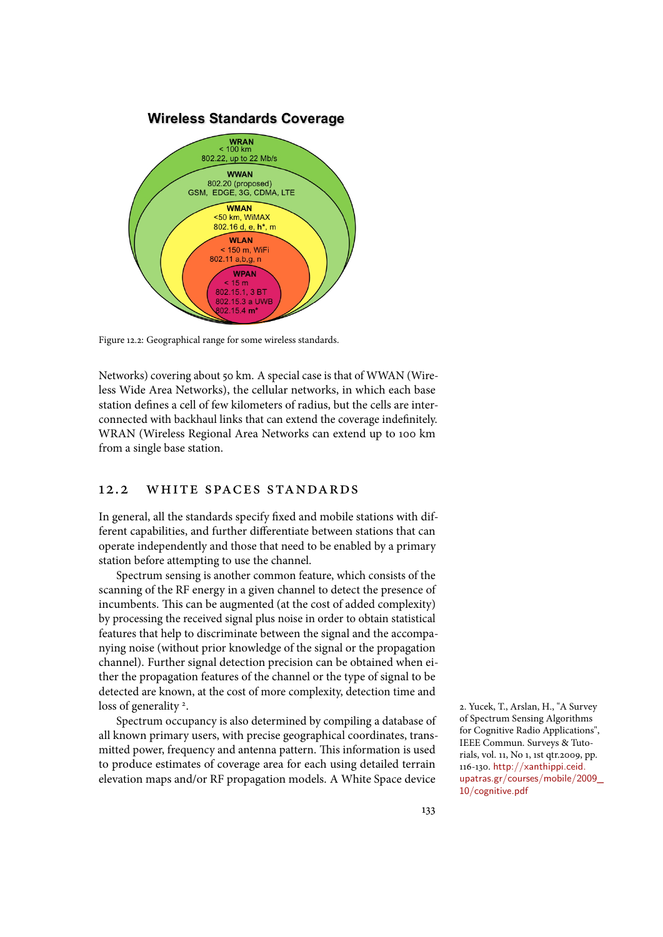

Figure 12.2: Geographical range for some wireless standards.

Networks) covering about 50 km. A special case is that of WWAN (Wireless Wide Area Networks), the cellular networks, in which each base station defines a cell of few kilometers of radius, but the cells are interconnected with backhaul links that can extend the coverage indefinitely. WRAN (Wireless Regional Area Networks can extend up to 100 km from a single base station.

#### 12.2 white spaces standards

In general, all the standards specify fixed and mobile stations with different capabilities, and further differentiate between stations that can operate independently and those that need to be enabled by a primary station before attempting to use the channel.

Spectrum sensing is another common feature, which consists of the scanning of the RF energy in a given channel to detect the presence of incumbents. This can be augmented (at the cost of added complexity) by processing the received signal plus noise in order to obtain statistical features that help to discriminate between the signal and the accompanying noise (without prior knowledge of the signal or the propagation channel). Further signal detection precision can be obtained when either the propagation features of the channel or the type of signal to be detected are known, at the cost of more complexity, detection time and loss of generality<sup>2</sup>.

Spectrum occupancy is also determined by compiling a database of all known primary users, with precise geographical coordinates, transmitted power, frequency and antenna pattern. This information is used to produce estimates of coverage area for each using detailed terrain elevation maps and/or RF propagation models. A White Space device

2. Yucek, T., Arslan, H., "A Survey of Spectrum Sensing Algorithms for Cognitive Radio Applications", IEEE Commun. Surveys & Tutorials, vol. 11, No 1, 1st qtr.2009, pp. 116-130. http://xanthippi.ceid. upatras.gr/courses/mobile/2009\_ 10/cognitive.pdf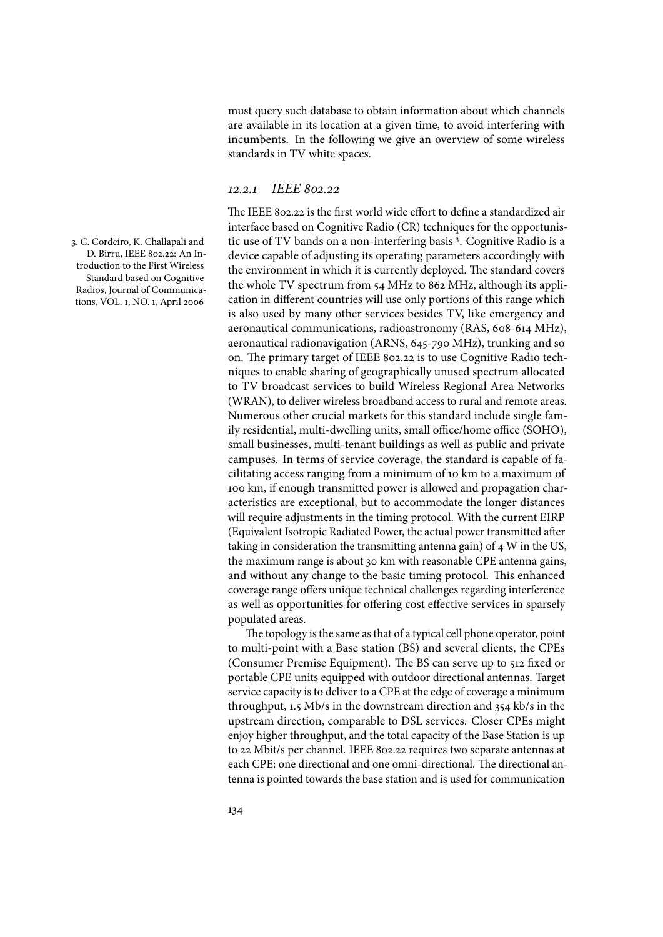must query such database to obtain information about which channels are available in its location at a given time, to avoid interfering with incumbents. In the following we give an overview of some wireless standards in TV white spaces.

#### 12*.*2*.*1 *IEEE* 802*.*22

The IEEE 802.22 is the first world wide effort to define a standardized air interface based on Cognitive Radio (CR) techniques for the opportunis-3. C. Cordeiro, K. Challapali and htic use of  $\operatorname{TV}$  bands on a non-interfering basis 3. Cognitive Radio is a device capable of adjusting its operating parameters accordingly with the environment in which it is currently deployed. The standard covers the whole TV spectrum from 54 MHz to 862 MHz, although its application in different countries will use only portions of this range which is also used by many other services besides TV, like emergency and aeronautical communications, radioastronomy (RAS, 608-614 MHz), aeronautical radionavigation (ARNS, 645-790 MHz), trunking and so on. The primary target of IEEE 802.22 is to use Cognitive Radio techniques to enable sharing of geographically unused spectrum allocated to TV broadcast services to build Wireless Regional Area Networks (WRAN), to deliver wireless broadband access to rural and remote areas. Numerous other crucial markets for this standard include single family residential, multi-dwelling units, small office/home office (SOHO), small businesses, multi-tenant buildings as well as public and private campuses. In terms of service coverage, the standard is capable of facilitating access ranging from a minimum of 10 km to a maximum of 100 km, if enough transmitted power is allowed and propagation characteristics are exceptional, but to accommodate the longer distances will require adjustments in the timing protocol. With the current EIRP (Equivalent Isotropic Radiated Power, the actual power transmitted after taking in consideration the transmitting antenna gain) of 4 W in the US, the maximum range is about 30 km with reasonable CPE antenna gains, and without any change to the basic timing protocol. This enhanced coverage range offers unique technical challenges regarding interference as well as opportunities for offering cost effective services in sparsely populated areas.

> The topology is the same as that of a typical cell phone operator, point to multi-point with a Base station (BS) and several clients, the CPEs (Consumer Premise Equipment). The BS can serve up to 512 fixed or portable CPE units equipped with outdoor directional antennas. Target service capacity is to deliver to a CPE at the edge of coverage a minimum throughput, 1.5 Mb/s in the downstream direction and 354 kb/s in the upstream direction, comparable to DSL services. Closer CPEs might enjoy higher throughput, and the total capacity of the Base Station is up to 22 Mbit/s per channel. IEEE 802.22 requires two separate antennas at each CPE: one directional and one omni-directional. The directional antenna is pointed towards the base station and is used for communication

D. Birru, IEEE 802.22: An Introduction to the First Wireless Standard based on Cognitive Radios, Journal of Communications, VOL. 1, NO. 1, April 2006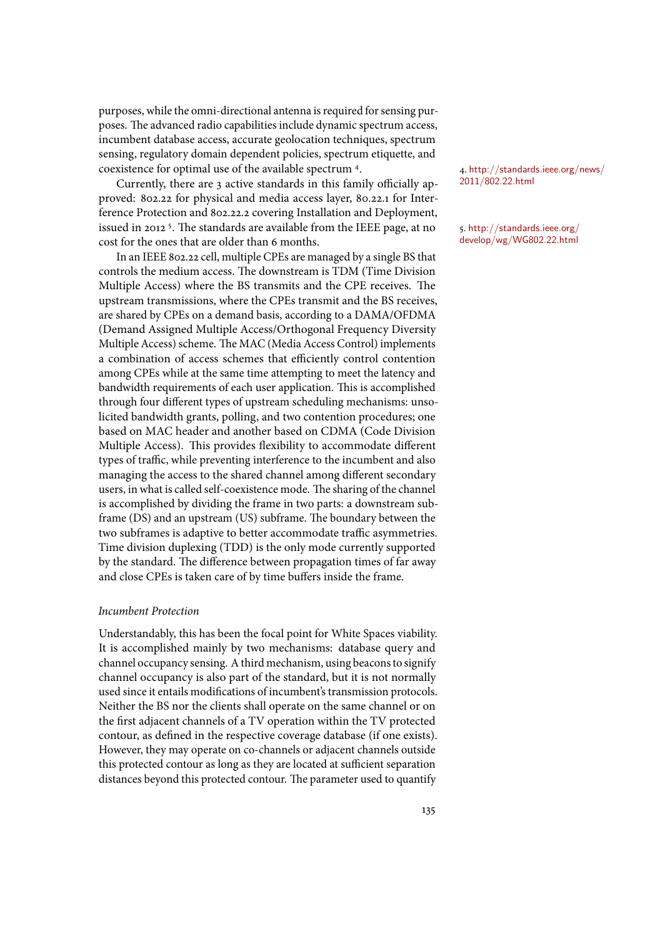purposes, while the omni-directional antenna is required for sensing purposes. The advanced radio capabilities include dynamic spectrum access, incumbent database access, accurate geolocation techniques, spectrum sensing, regulatory domain dependent policies, spectrum etiquette, and coexistence for optimal use of the available spectrum <sup>4</sup>.  $\frac{4. \text{http://standards.ieee.org/news/} }{4. \text{http://standards.ieee.org/news/} }$ 

Currently, there are  $\alpha$  active standards in this family officially approved: 802.22 for physical and media access layer, 80.22.1 for Interference Protection and 802.22.2 covering Installation and Deployment, issued in 2012 <sup>5</sup>. The standards are available from the IEEE page, at no  $\,$  5. http://standards.ieee.org/ cost for the ones that are older than 6 months.

In an IEEE 802.22 cell, multiple CPEs are managed by a single BS that controls the medium access. The downstream is TDM (Time Division Multiple Access) where the BS transmits and the CPE receives. The upstream transmissions, where the CPEs transmit and the BS receives, are shared by CPEs on a demand basis, according to a DAMA/OFDMA (Demand Assigned Multiple Access/Orthogonal Frequency Diversity Multiple Access) scheme. The MAC (Media Access Control) implements a combination of access schemes that efficiently control contention among CPEs while at the same time attempting to meet the latency and bandwidth requirements of each user application. This is accomplished through four different types of upstream scheduling mechanisms: unsolicited bandwidth grants, polling, and two contention procedures; one based on MAC header and another based on CDMA (Code Division Multiple Access). This provides flexibility to accommodate different types of traffic, while preventing interference to the incumbent and also managing the access to the shared channel among different secondary users, in what is called self-coexistence mode. The sharing of the channel is accomplished by dividing the frame in two parts: a downstream subframe (DS) and an upstream (US) subframe. The boundary between the two subframes is adaptive to better accommodate traffic asymmetries. Time division duplexing (TDD) is the only mode currently supported by the standard. The difference between propagation times of far away and close CPEs is taken care of by time buffers inside the frame.

#### *Incumbent Protection*

Understandably, this has been the focal point for White Spaces viability. It is accomplished mainly by two mechanisms: database query and channel occupancy sensing. A third mechanism, using beacons to signify channel occupancy is also part of the standard, but it is not normally used since it entails modifications of incumbent's transmission protocols. Neither the BS nor the clients shall operate on the same channel or on the first adjacent channels of a TV operation within the TV protected contour, as defined in the respective coverage database (if one exists). However, they may operate on co-channels or adjacent channels outside this protected contour as long as they are located at sufficient separation distances beyond this protected contour. The parameter used to quantify

2011/802.22.html

develop/wg/WG802.22.html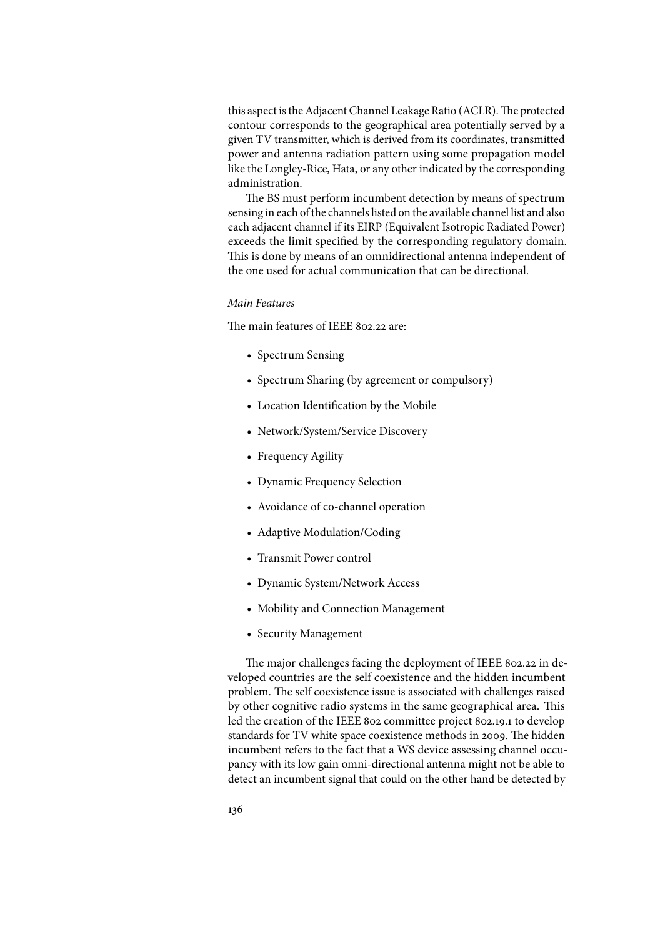this aspect is the Adjacent Channel Leakage Ratio (ACLR). The protected contour corresponds to the geographical area potentially served by a given TV transmitter, which is derived from its coordinates, transmitted power and antenna radiation pattern using some propagation model like the Longley-Rice, Hata, or any other indicated by the corresponding administration.

The BS must perform incumbent detection by means of spectrum sensing in each of the channels listed on the available channel list and also each adjacent channel if its EIRP (Equivalent Isotropic Radiated Power) exceeds the limit specified by the corresponding regulatory domain. This is done by means of an omnidirectional antenna independent of the one used for actual communication that can be directional.

#### *Main Features*

The main features of IEEE 802.22 are:

- Spectrum Sensing
- Spectrum Sharing (by agreement or compulsory)
- Location Identification by the Mobile
- Network/System/Service Discovery
- Frequency Agility
- Dynamic Frequency Selection
- Avoidance of co-channel operation
- Adaptive Modulation/Coding
- Transmit Power control
- Dynamic System/Network Access
- Mobility and Connection Management
- Security Management

The major challenges facing the deployment of IEEE 802.22 in developed countries are the self coexistence and the hidden incumbent problem. The self coexistence issue is associated with challenges raised by other cognitive radio systems in the same geographical area. This led the creation of the IEEE 802 committee project 802.19.1 to develop standards for TV white space coexistence methods in 2009. The hidden incumbent refers to the fact that a WS device assessing channel occupancy with its low gain omni-directional antenna might not be able to detect an incumbent signal that could on the other hand be detected by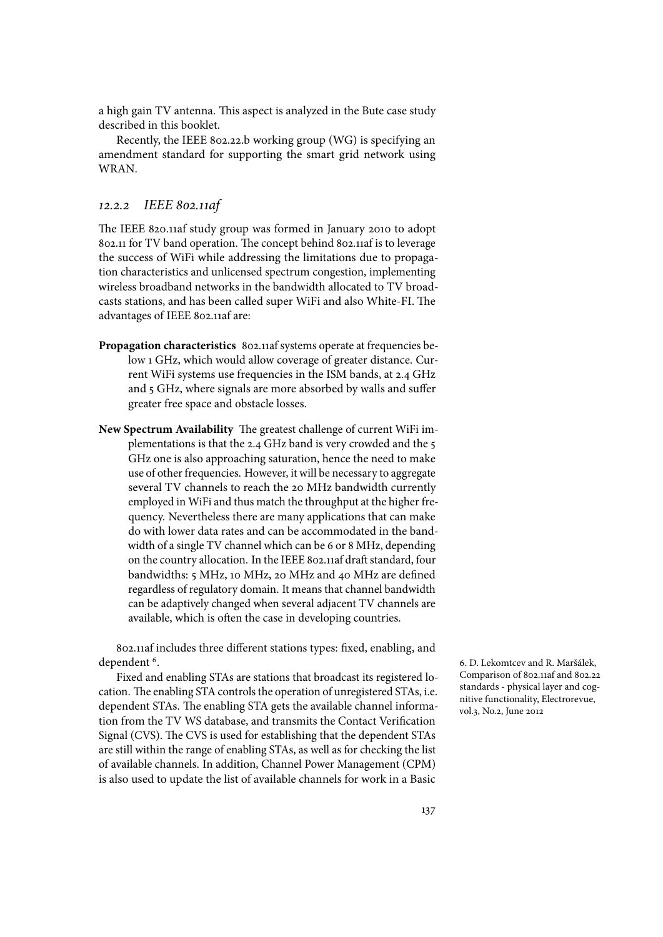a high gain TV antenna. This aspect is analyzed in the Bute case study described in this booklet.

Recently, the IEEE 802.22.b working group (WG) is specifying an amendment standard for supporting the smart grid network using **WRAN** 

#### 12*.*2*.*2 *IEEE* 802*.*11*af*

The IEEE 820.11af study group was formed in January 2010 to adopt 802.11 for TV band operation. The concept behind 802.11af is to leverage the success of WiFi while addressing the limitations due to propagation characteristics and unlicensed spectrum congestion, implementing wireless broadband networks in the bandwidth allocated to TV broadcasts stations, and has been called super WiFi and also White-FI. The advantages of IEEE 802.11af are:

- **Propagation characteristics** 802.11af systems operate at frequencies below 1 GHz, which would allow coverage of greater distance. Current WiFi systems use frequencies in the ISM bands, at 2.4 GHz and 5 GHz, where signals are more absorbed by walls and suffer greater free space and obstacle losses.
- **New Spectrum Availability** The greatest challenge of current WiFi implementations is that the 2.4 GHz band is very crowded and the 5 GHz one is also approaching saturation, hence the need to make use of other frequencies. However, it will be necessary to aggregate several TV channels to reach the 20 MHz bandwidth currently employed in WiFi and thus match the throughput at the higher frequency. Nevertheless there are many applications that can make do with lower data rates and can be accommodated in the bandwidth of a single TV channel which can be 6 or 8 MHz, depending on the country allocation. In the IEEE 802.11af draft standard, four bandwidths: 5 MHz, 10 MHz, 20 MHz and 40 MHz are defined regardless of regulatory domain. It means that channel bandwidth can be adaptively changed when several adjacent TV channels are available, which is often the case in developing countries.

802.11af includes three different stations types: fixed, enabling, and dependent<sup>6</sup>.

Fixed and enabling STAs are stations that broadcast its registered location. The enabling STA controls the operation of unregistered STAs, i.e. dependent STAs. The enabling STA gets the available channel information from the TV WS database, and transmits the Contact Verification Signal (CVS). The CVS is used for establishing that the dependent STAs are still within the range of enabling STAs, as well as for checking the list of available channels. In addition, Channel Power Management (CPM) is also used to update the list of available channels for work in a Basic

6. D. Lekomtcev and R. Maršálek, Comparison of 802.11af and 802.22 standards - physical layer and cognitive functionality, Electrorevue, vol.3, No.2, June 2012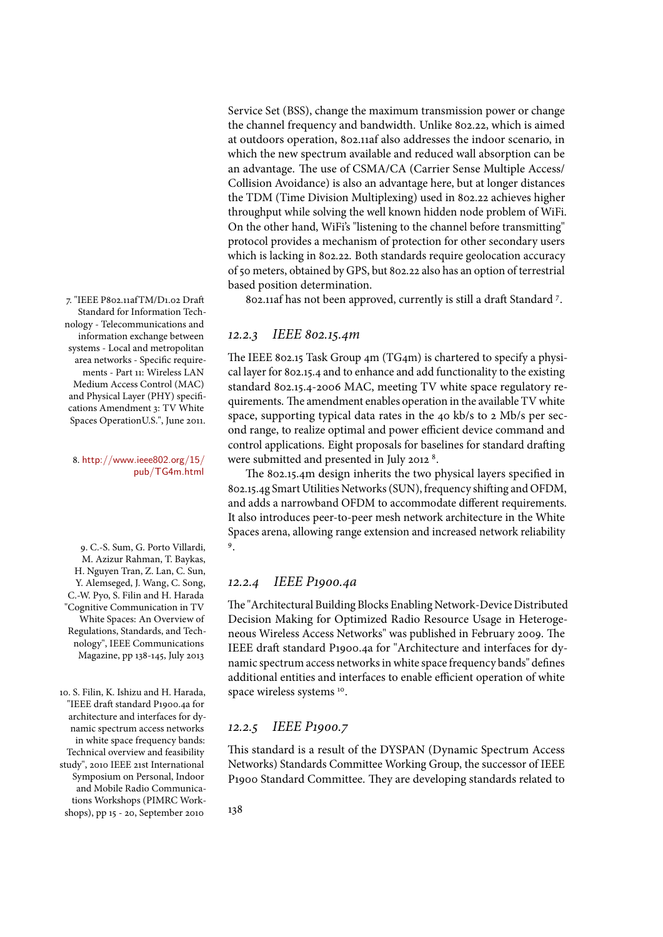Service Set (BSS), change the maximum transmission power or change the channel frequency and bandwidth. Unlike 802.22, which is aimed at outdoors operation, 802.11af also addresses the indoor scenario, in which the new spectrum available and reduced wall absorption can be an advantage. The use of CSMA/CA (Carrier Sense Multiple Access/ Collision Avoidance) is also an advantage here, but at longer distances the TDM (Time Division Multiplexing) used in 802.22 achieves higher throughput while solving the well known hidden node problem of WiFi. On the other hand, WiFi's "listening to the channel before transmitting" protocol provides a mechanism of protection for other secondary users which is lacking in 802.22. Both standards require geolocation accuracy of 50 meters, obtained by GPS, but 802.22 also has an option of terrestrial based position determination.

7. "IEEE P802.11afTM/D1.02 Draft  $\rule{1em}{0.15mm}$  802.11af has not been approved, currently is still a draft Standard <sup>7</sup>.

### 12*.*2*.*3 *IEEE* 802*.*15*.*4*m*

The IEEE 802.15 Task Group 4m (TG4m) is chartered to specify a physical layer for 802.15.4 and to enhance and add functionality to the existing standard 802.15.4-2006 MAC, meeting TV white space regulatory requirements. The amendment enables operation in the available TV white space, supporting typical data rates in the 40 kb/s to 2 Mb/s per second range, to realize optimal and power efficient device command and control applications. Eight proposals for baselines for standard drafting 8. http://www.ieee802.org/15/ were submitted and presented in July 2012  $^8$ .

> The 802.15.4m design inherits the two physical layers specified in 802.15.4g Smart Utilities Networks (SUN), frequency shifting and OFDM, and adds a narrowband OFDM to accommodate different requirements. It also introduces peer-to-peer mesh network architecture in the White Spaces arena, allowing range extension and increased network reliability .

#### 12*.*2*.*4 *IEEE P*1900*.*4*a*

The "Architectural Building Blocks Enabling Network-Device Distributed Decision Making for Optimized Radio Resource Usage in Heterogeneous Wireless Access Networks" was published in February 2009. The IEEE draft standard P1900.4a for "Architecture and interfaces for dynamic spectrum access networks in white space frequency bands" defines additional entities and interfaces to enable efficient operation of white space wireless systems 10.

#### 12*.*2*.*5 *IEEE P*1900*.*7

This standard is a result of the DYSPAN (Dynamic Spectrum Access Networks) Standards Committee Working Group, the successor of IEEE P1900 Standard Committee. They are developing standards related to

Standard for Information Technology - Telecommunications and information exchange between systems - Local and metropolitan area networks - Specific requirements - Part 11: Wireless LAN Medium Access Control (MAC) and Physical Layer (PHY) specifications Amendment 3: TV White Spaces OperationU.S.", June 2011.

pub/TG4m.html

<sup>9</sup> 9. C.-S. Sum, G. Porto Villardi, M. Azizur Rahman, T. Baykas, H. Nguyen Tran, Z. Lan, C. Sun, Y. Alemseged, J. Wang, C. Song, C.-W. Pyo, S. Filin and H. Harada "Cognitive Communication in TV White Spaces: An Overview of Regulations, Standards, and Technology", IEEE Communications Magazine, pp 138-145, July 2013

10. S. Filin, K. Ishizu and H. Harada, "IEEE draft standard P1900.4a for architecture and interfaces for dynamic spectrum access networks in white space frequency bands: Technical overview and feasibility study", 2010 IEEE 21st International Symposium on Personal, Indoor and Mobile Radio Communications Workshops (PIMRC Workshops), pp 15 - 20, September 2010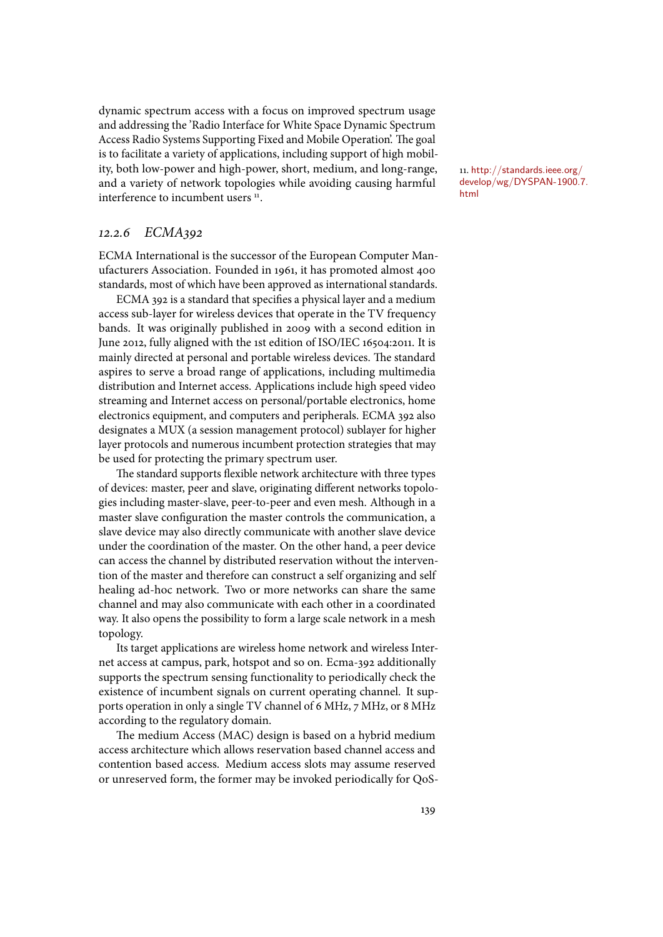dynamic spectrum access with a focus on improved spectrum usage and addressing the 'Radio Interface for White Space Dynamic Spectrum Access Radio Systems Supporting Fixed and Mobile Operation'. The goal is to facilitate a variety of applications, including support of high mobility, both low-power and high-power, short, medium, and long-range, and a variety of network topologies while avoiding causing harmful interference to incumbent users <sup>11</sup>. html . **html** 

#### 12*.*2*.*6 *ECMA*392

ECMA International is the successor of the European Computer Manufacturers Association. Founded in 1961, it has promoted almost 400 standards, most of which have been approved as international standards.

ECMA 392 is a standard that specifies a physical layer and a medium access sub-layer for wireless devices that operate in the TV frequency bands. It was originally published in 2009 with a second edition in June 2012, fully aligned with the 1st edition of ISO/IEC 16504:2011. It is mainly directed at personal and portable wireless devices. The standard aspires to serve a broad range of applications, including multimedia distribution and Internet access. Applications include high speed video streaming and Internet access on personal/portable electronics, home electronics equipment, and computers and peripherals. ECMA 392 also designates a MUX (a session management protocol) sublayer for higher layer protocols and numerous incumbent protection strategies that may be used for protecting the primary spectrum user.

The standard supports flexible network architecture with three types of devices: master, peer and slave, originating different networks topologies including master-slave, peer-to-peer and even mesh. Although in a master slave configuration the master controls the communication, a slave device may also directly communicate with another slave device under the coordination of the master. On the other hand, a peer device can access the channel by distributed reservation without the intervention of the master and therefore can construct a self organizing and self healing ad-hoc network. Two or more networks can share the same channel and may also communicate with each other in a coordinated way. It also opens the possibility to form a large scale network in a mesh topology.

Its target applications are wireless home network and wireless Internet access at campus, park, hotspot and so on. Ecma-392 additionally supports the spectrum sensing functionality to periodically check the existence of incumbent signals on current operating channel. It supports operation in only a single TV channel of 6 MHz, 7 MHz, or 8 MHz according to the regulatory domain.

The medium Access (MAC) design is based on a hybrid medium access architecture which allows reservation based channel access and contention based access. Medium access slots may assume reserved or unreserved form, the former may be invoked periodically for QoS- 11. http://standards.ieee.org/ develop/wg/DYSPAN-1900.7.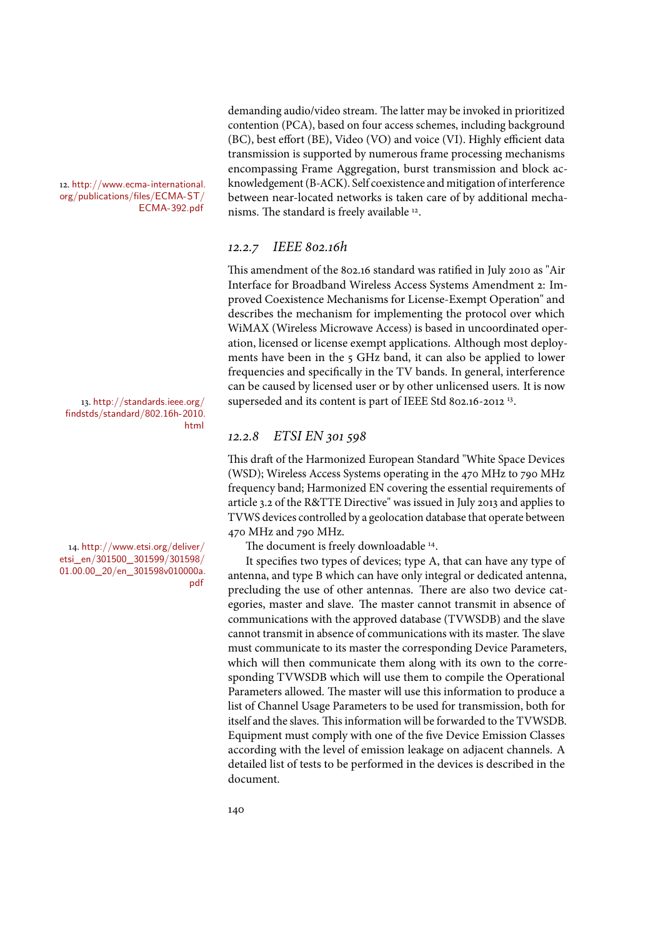contention (PCA), based on four access schemes, including background (BC), best effort (BE), Video (VO) and voice (VI). Highly efficient data transmission is supported by numerous frame processing mechanisms encompassing Frame Aggregation, burst transmission and block acknowledgement (B-ACK). Self coexistence and mitigation of interference between near-located networks is taken care of by additional mecha-ECMA-392.pdf nisms. The standard is freely available <sup>12</sup>.

demanding audio/video stream. The latter may be invoked in prioritized

# 12*.*2*.*7 *IEEE* 802*.*16*h*

This amendment of the 802.16 standard was ratified in July 2010 as "Air Interface for Broadband Wireless Access Systems Amendment 2: Improved Coexistence Mechanisms for License-Exempt Operation" and describes the mechanism for implementing the protocol over which WiMAX (Wireless Microwave Access) is based in uncoordinated operation, licensed or license exempt applications. Although most deployments have been in the 5 GHz band, it can also be applied to lower frequencies and specifically in the TV bands. In general, interference can be caused by licensed user or by other unlicensed users. It is now 13. http://standards.ieee.org/  $\qquad$  superseded and its content is part of IEEE Std 802.16-2012  $^{13}$ .

# 12*.*2*.*8 *ETSI EN* 301 598

This draft of the Harmonized European Standard "White Space Devices (WSD); Wireless Access Systems operating in the 470 MHz to 790 MHz frequency band; Harmonized EN covering the essential requirements of article 3.2 of the R&TTE Directive" was issued in July 2013 and applies to TVWS devices controlled by a geolocation database that operate between 470 MHz and 790 MHz.

14. http://www.etsi.org/deliver/  $\hskip1cm \text{The document is freely downloadable 14.}$ 

It specifies two types of devices; type A, that can have any type of antenna, and type B which can have only integral or dedicated antenna, precluding the use of other antennas. There are also two device categories, master and slave. The master cannot transmit in absence of communications with the approved database (TVWSDB) and the slave cannot transmit in absence of communications with its master. The slave must communicate to its master the corresponding Device Parameters, which will then communicate them along with its own to the corresponding TVWSDB which will use them to compile the Operational Parameters allowed. The master will use this information to produce a list of Channel Usage Parameters to be used for transmission, both for itself and the slaves. This information will be forwarded to the TVWSDB. Equipment must comply with one of the five Device Emission Classes according with the level of emission leakage on adjacent channels. A detailed list of tests to be performed in the devices is described in the document.

12. http://www.ecma-international. org/publications/files/ECMA-ST/

findstds/standard/802.16h-2010. html

etsi\_en/301500\_301599/301598/ 01.00.00\_20/en\_301598v010000a. pdf